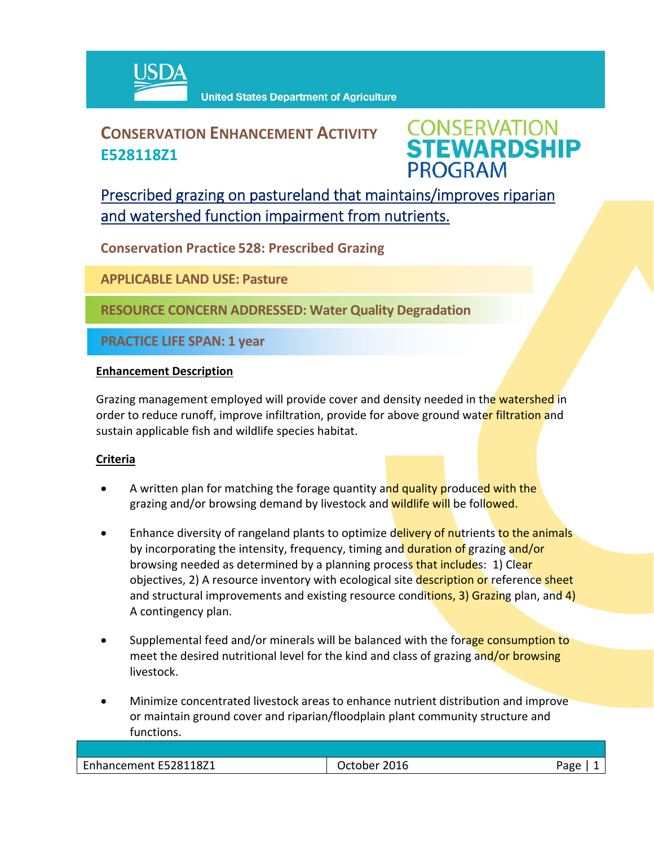

## **CONSERVATION ENHANCEMENT ACTIVITY E528118Z1**



Prescribed grazing on pastureland that maintains/improves riparian and watershed function impairment from nutrients.

**Conservation Practice 528: Prescribed Grazing**

**APPLICABLE LAND USE: Pasture**

**RESOURCE CONCERN ADDRESSED: Water Quality Degradation**

**PRACTICE LIFE SPAN: 1 year**

## **Enhancement Description**

Grazing management employed will provide cover and density needed in the watershed in order to reduce runoff, improve infiltration, provide for above ground water filtration and sustain applicable fish and wildlife species habitat.

## **Criteria**

- A written plan for matching the forage quantity and quality produced with the grazing and/or browsing demand by livestock and wildlife will be followed.
- Enhance diversity of rangeland plants to optimize delivery of nutrients to the animals by incorporating the intensity, frequency, timing and duration of grazing and/or browsing needed as determined by a planning process that includes: 1) Clear objectives, 2) A resource inventory with ecological site description or reference sheet and structural improvements and existing resource conditions, 3) Grazing plan, and 4) A contingency plan.
- Supplemental feed and/or minerals will be balanced with the forage consumption to meet the desired nutritional level for the kind and class of grazing and/or browsing livestock.
- Minimize concentrated livestock areas to enhance nutrient distribution and improve or maintain ground cover and riparian/floodplain plant community structure and functions.

| Enhancement E528118Z1 | 2016<br>าher | ∩סבי |
|-----------------------|--------------|------|